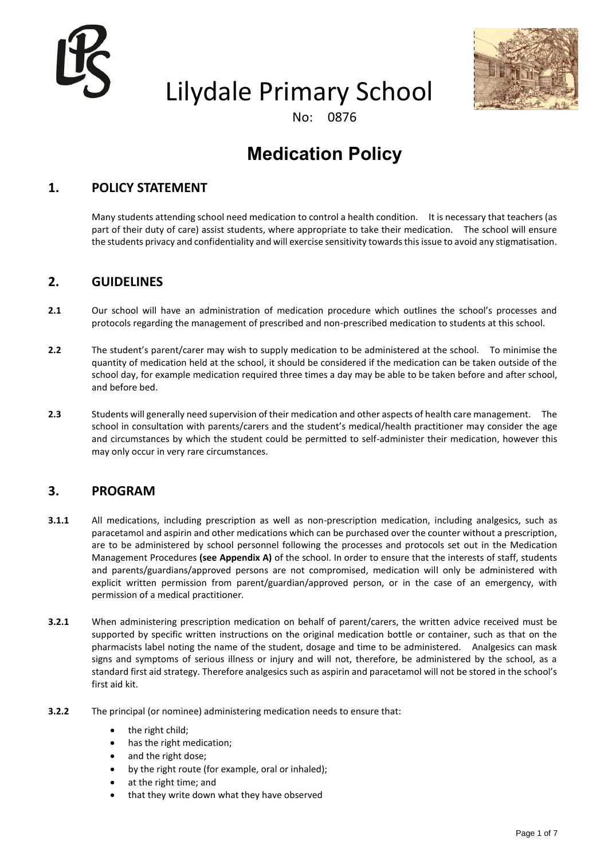

# Lilydale Primary School



No: 0876

## **Medication Policy**

### **1. POLICY STATEMENT**

Many students attending school need medication to control a health condition. It is necessary that teachers (as part of their duty of care) assist students, where appropriate to take their medication. The school will ensure the students privacy and confidentiality and will exercise sensitivity towards this issue to avoid any stigmatisation.

### **2. GUIDELINES**

- **2.1** Our school will have an administration of medication procedure which outlines the school's processes and protocols regarding the management of prescribed and non-prescribed medication to students at this school.
- **2.2** The student's parent/carer may wish to supply medication to be administered at the school. To minimise the quantity of medication held at the school, it should be considered if the medication can be taken outside of the school day, for example medication required three times a day may be able to be taken before and after school, and before bed.
- **2.3** Students will generally need supervision of their medication and other aspects of health care management. The school in consultation with parents/carers and the student's medical/health practitioner may consider the age and circumstances by which the student could be permitted to self-administer their medication, however this may only occur in very rare circumstances.

### **3. PROGRAM**

- **3.1.1** All medications, including prescription as well as non-prescription medication, including analgesics, such as paracetamol and aspirin and other medications which can be purchased over the counter without a prescription, are to be administered by school personnel following the processes and protocols set out in the Medication Management Procedures **(see Appendix A)** of the school. In order to ensure that the interests of staff, students and parents/guardians/approved persons are not compromised, medication will only be administered with explicit written permission from parent/guardian/approved person, or in the case of an emergency, with permission of a medical practitioner.
- **3.2.1** When administering prescription medication on behalf of parent/carers, the written advice received must be supported by specific written instructions on the original medication bottle or container, such as that on the pharmacists label noting the name of the student, dosage and time to be administered. Analgesics can mask signs and symptoms of serious illness or injury and will not, therefore, be administered by the school, as a standard first aid strategy. Therefore analgesics such as aspirin and paracetamol will not be stored in the school's first aid kit.
- **3.2.2** The principal (or nominee) administering medication needs to ensure that:
	- the right child;
	- has the right medication;
	- and the right dose;
	- by the right route (for example, oral or inhaled);
	- at the right time; and
	- that they write down what they have observed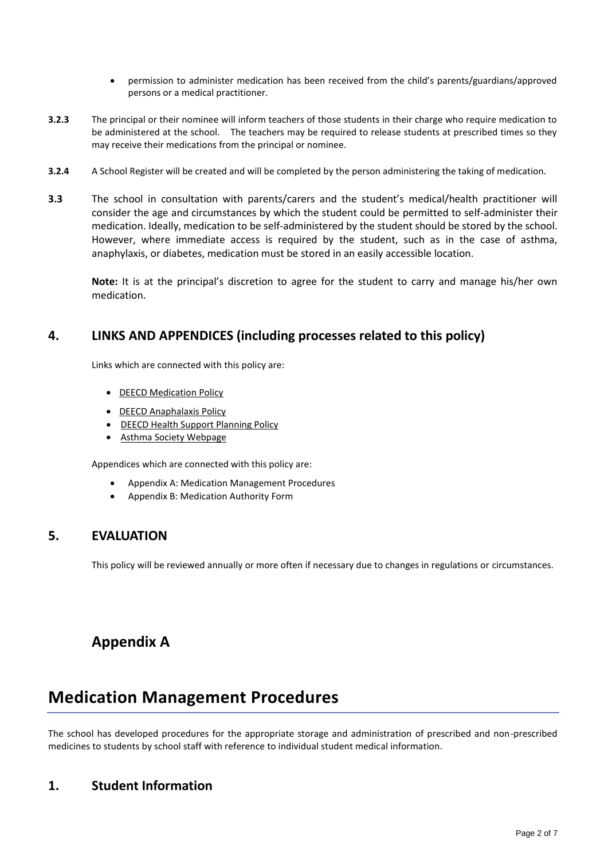- permission to administer medication has been received from the child's parents/guardians/approved persons or a medical practitioner.
- **3.2.3** The principal or their nominee will inform teachers of those students in their charge who require medication to be administered at the school. The teachers may be required to release students at prescribed times so they may receive their medications from the principal or nominee.
- **3.2.4** A School Register will be created and will be completed by the person administering the taking of medication.
- **3.3** The school in consultation with parents/carers and the student's medical/health practitioner will consider the age and circumstances by which the student could be permitted to self-administer their medication. Ideally, medication to be self-administered by the student should be stored by the school. However, where immediate access is required by the student, such as in the case of asthma, anaphylaxis, or diabetes, medication must be stored in an easily accessible location.

**Note:** It is at the principal's discretion to agree for the student to carry and manage his/her own medication.

#### **4. LINKS AND APPENDICES (including processes related to this policy)**

Links which are connected with this policy are:

- [DEECD Medication Policy](http://www.education.vic.gov.au/school/principals/spag/health/pages/medication.aspx#mainContent)
- [DEECD Anaphalaxis Policy](http://www.education.vic.gov.au/school/principals/spag/health/pages/anaphylaxis.aspx#mainContent)
- [DEECD Health Support Planning Policy](http://www.education.vic.gov.au/school/principals/spag/health/Pages/supportplanning.aspx)
- [Asthma Society Webpage](http://www.asthma.org.au/Default.aspx?tabid=102)

Appendices which are connected with this policy are:

- Appendix A: Medication Management Procedures
- Appendix B: Medication Authority Form

#### **5. EVALUATION**

This policy will be reviewed annually or more often if necessary due to changes in regulations or circumstances.

### **Appendix A**

## **Medication Management Procedures**

The school has developed procedures for the appropriate storage and administration of prescribed and non-prescribed medicines to students by school staff with reference to individual student medical information.

### **1. Student Information**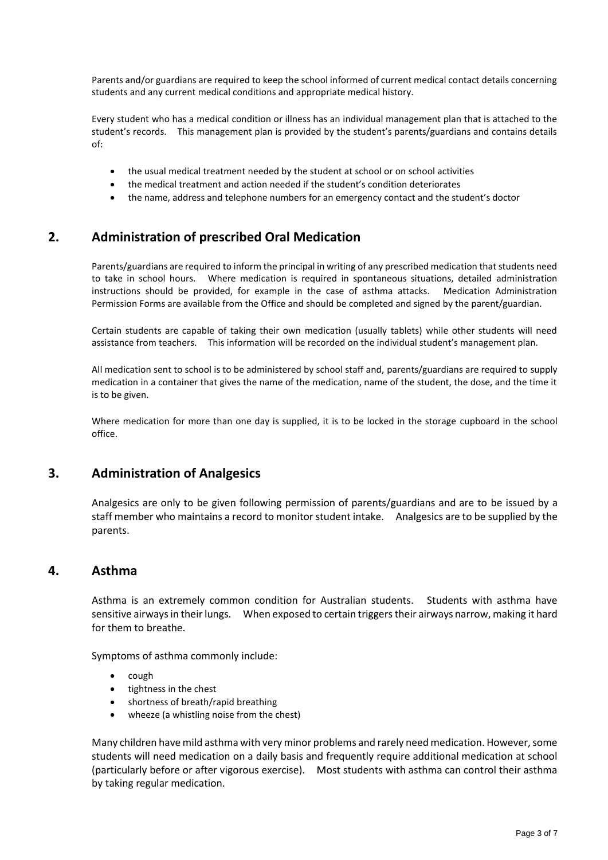Parents and/or guardians are required to keep the school informed of current medical contact details concerning students and any current medical conditions and appropriate medical history.

Every student who has a medical condition or illness has an individual management plan that is attached to the student's records. This management plan is provided by the student's parents/guardians and contains details of:

- the usual medical treatment needed by the student at school or on school activities
- the medical treatment and action needed if the student's condition deteriorates
- the name, address and telephone numbers for an emergency contact and the student's doctor

#### **2. Administration of prescribed Oral Medication**

Parents/guardians are required to inform the principal in writing of any prescribed medication that students need to take in school hours. Where medication is required in spontaneous situations, detailed administration instructions should be provided, for example in the case of asthma attacks. Medication Administration Permission Forms are available from the Office and should be completed and signed by the parent/guardian.

Certain students are capable of taking their own medication (usually tablets) while other students will need assistance from teachers. This information will be recorded on the individual student's management plan.

All medication sent to school is to be administered by school staff and, parents/guardians are required to supply medication in a container that gives the name of the medication, name of the student, the dose, and the time it is to be given.

Where medication for more than one day is supplied, it is to be locked in the storage cupboard in the school office.

#### **3. Administration of Analgesics**

Analgesics are only to be given following permission of parents/guardians and are to be issued by a staff member who maintains a record to monitor student intake. Analgesics are to be supplied by the parents.

#### **4. Asthma**

Asthma is an extremely common condition for Australian students. Students with asthma have sensitive airways in their lungs. When exposed to certain triggers their airways narrow, making it hard for them to breathe.

Symptoms of asthma commonly include:

- cough
- tightness in the chest
- shortness of breath/rapid breathing
- wheeze (a whistling noise from the chest)

Many children have mild asthma with very minor problems and rarely need medication. However, some students will need medication on a daily basis and frequently require additional medication at school (particularly before or after vigorous exercise). Most students with asthma can control their asthma by taking regular medication.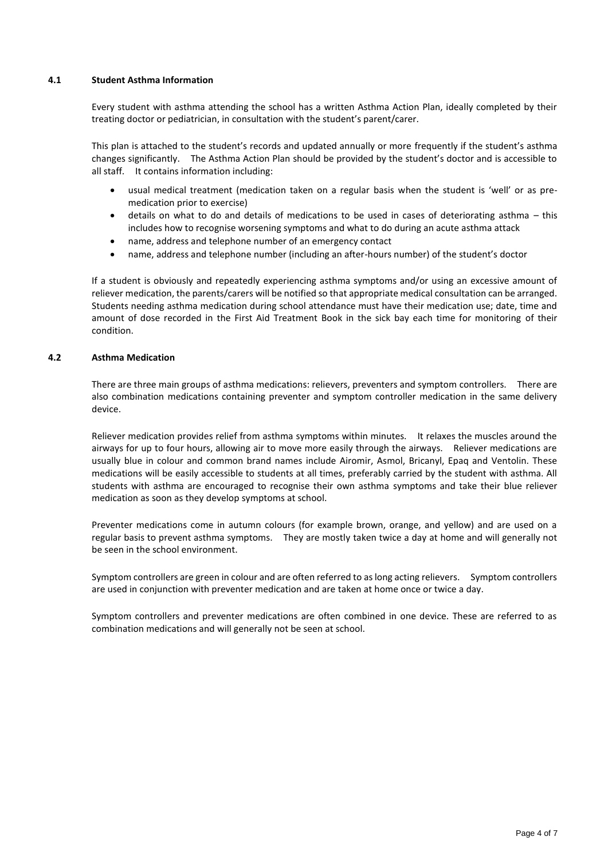#### **4.1 Student Asthma Information**

Every student with asthma attending the school has a written Asthma Action Plan, ideally completed by their treating doctor or pediatrician, in consultation with the student's parent/carer.

This plan is attached to the student's records and updated annually or more frequently if the student's asthma changes significantly. The Asthma Action Plan should be provided by the student's doctor and is accessible to all staff. It contains information including:

- usual medical treatment (medication taken on a regular basis when the student is 'well' or as premedication prior to exercise)
- details on what to do and details of medications to be used in cases of deteriorating asthma this includes how to recognise worsening symptoms and what to do during an acute asthma attack
- name, address and telephone number of an emergency contact
- name, address and telephone number (including an after-hours number) of the student's doctor

If a student is obviously and repeatedly experiencing asthma symptoms and/or using an excessive amount of reliever medication, the parents/carers will be notified so that appropriate medical consultation can be arranged. Students needing asthma medication during school attendance must have their medication use; date, time and amount of dose recorded in the First Aid Treatment Book in the sick bay each time for monitoring of their condition.

#### **4.2 Asthma Medication**

There are three main groups of asthma medications: relievers, preventers and symptom controllers. There are also combination medications containing preventer and symptom controller medication in the same delivery device.

Reliever medication provides relief from asthma symptoms within minutes. It relaxes the muscles around the airways for up to four hours, allowing air to move more easily through the airways. Reliever medications are usually blue in colour and common brand names include Airomir, Asmol, Bricanyl, Epaq and Ventolin. These medications will be easily accessible to students at all times, preferably carried by the student with asthma. All students with asthma are encouraged to recognise their own asthma symptoms and take their blue reliever medication as soon as they develop symptoms at school.

Preventer medications come in autumn colours (for example brown, orange, and yellow) and are used on a regular basis to prevent asthma symptoms. They are mostly taken twice a day at home and will generally not be seen in the school environment.

Symptom controllers are green in colour and are often referred to as long acting relievers. Symptom controllers are used in conjunction with preventer medication and are taken at home once or twice a day.

Symptom controllers and preventer medications are often combined in one device. These are referred to as combination medications and will generally not be seen at school.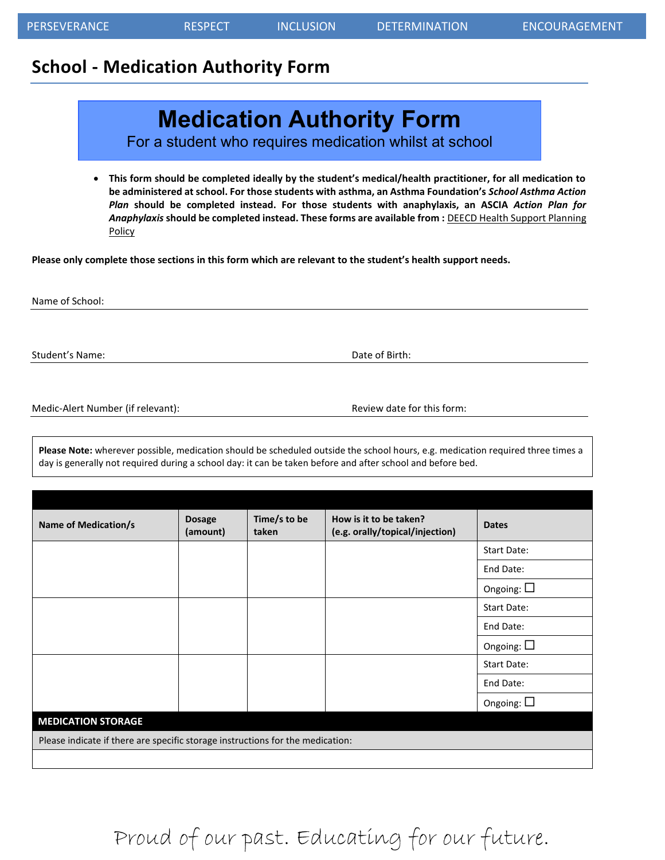### **School - Medication Authority Form**

## **Medication Authority Form**

For a student who requires medication whilst at school

 **This form should be completed ideally by the student's medical/health practitioner, for all medication to be administered at school. For those students with asthma, an Asthma Foundation's** *School Asthma Action Plan* **should be completed instead. For those students with anaphylaxis, an ASCIA** *Action Plan for Anaphylaxis* **should be completed instead. These forms are available from :** [DEECD Health Support Planning](http://www.education.vic.gov.au/school/principals/spag/health/Pages/supportplanning.aspx)  **[Policy](http://www.education.vic.gov.au/school/principals/spag/health/Pages/supportplanning.aspx)** 

**Please only complete those sections in this form which are relevant to the student's health support needs.** 

Name of School:

Student's Name: Name: Date of Birth: Date of Birth: Date of Birth: Date of Birth: Date of Birth: Date of Birth: Date of Birth: Date of Birth: Date of Birth: Date of Birth: Date of Birth: Date of Birth: Date of Birth: Date

Medic-Alert Number (if relevant): Next and the Review date for this form:

**Please Note:** wherever possible, medication should be scheduled outside the school hours, e.g. medication required three times a day is generally not required during a school day: it can be taken before and after school and before bed.

| <b>Name of Medication/s</b>                                                    | <b>Dosage</b><br>(amount) | Time/s to be<br>taken | How is it to be taken?<br>(e.g. orally/topical/injection) | <b>Dates</b>       |  |
|--------------------------------------------------------------------------------|---------------------------|-----------------------|-----------------------------------------------------------|--------------------|--|
|                                                                                |                           |                       |                                                           | Start Date:        |  |
|                                                                                |                           |                       |                                                           | End Date:          |  |
|                                                                                |                           |                       |                                                           | Ongoing: $\square$ |  |
|                                                                                |                           |                       |                                                           | Start Date:        |  |
|                                                                                |                           |                       |                                                           | End Date:          |  |
|                                                                                |                           |                       |                                                           | Ongoing: $\square$ |  |
|                                                                                |                           |                       |                                                           | <b>Start Date:</b> |  |
|                                                                                |                           |                       |                                                           | End Date:          |  |
|                                                                                |                           |                       |                                                           | Ongoing: $\square$ |  |
| <b>MEDICATION STORAGE</b>                                                      |                           |                       |                                                           |                    |  |
| Please indicate if there are specific storage instructions for the medication: |                           |                       |                                                           |                    |  |
|                                                                                |                           |                       |                                                           |                    |  |

# Proud of our past. Educating for our future.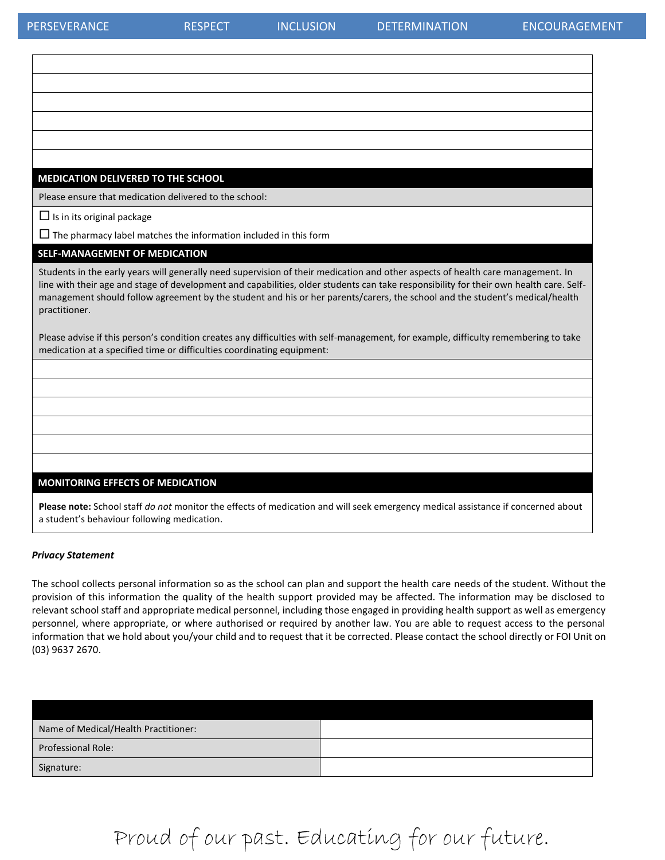$\Gamma$ 

| MEDICATION DELIVERED TO THE SCHOOL                                                                                                                                                                                                                                                                                                                                                                                         |
|----------------------------------------------------------------------------------------------------------------------------------------------------------------------------------------------------------------------------------------------------------------------------------------------------------------------------------------------------------------------------------------------------------------------------|
| Please ensure that medication delivered to the school:                                                                                                                                                                                                                                                                                                                                                                     |
| $\Box$ Is in its original package                                                                                                                                                                                                                                                                                                                                                                                          |
| $\Box$ The pharmacy label matches the information included in this form                                                                                                                                                                                                                                                                                                                                                    |
| <b>SELF-MANAGEMENT OF MEDICATION</b>                                                                                                                                                                                                                                                                                                                                                                                       |
| Students in the early years will generally need supervision of their medication and other aspects of health care management. In<br>line with their age and stage of development and capabilities, older students can take responsibility for their own health care. Self-<br>management should follow agreement by the student and his or her parents/carers, the school and the student's medical/health<br>practitioner. |
| Please advise if this person's condition creates any difficulties with self-management, for example, difficulty remembering to take<br>medication at a specified time or difficulties coordinating equipment:                                                                                                                                                                                                              |
|                                                                                                                                                                                                                                                                                                                                                                                                                            |
|                                                                                                                                                                                                                                                                                                                                                                                                                            |
|                                                                                                                                                                                                                                                                                                                                                                                                                            |
|                                                                                                                                                                                                                                                                                                                                                                                                                            |
|                                                                                                                                                                                                                                                                                                                                                                                                                            |
|                                                                                                                                                                                                                                                                                                                                                                                                                            |
| <b>MONITORING EFFECTS OF MEDICATION</b>                                                                                                                                                                                                                                                                                                                                                                                    |
| Please note: School staff do not monitor the effects of medication and will seek emergency medical assistance if concerned about<br>a student's behaviour following medication.                                                                                                                                                                                                                                            |

#### *Privacy Statement*

The school collects personal information so as the school can plan and support the health care needs of the student. Without the provision of this information the quality of the health support provided may be affected. The information may be disclosed to relevant school staff and appropriate medical personnel, including those engaged in providing health support as well as emergency personnel, where appropriate, or where authorised or required by another law. You are able to request access to the personal information that we hold about you/your child and to request that it be corrected. Please contact the school directly or FOI Unit on (03) 9637 2670.

| Name of Medical/Health Practitioner: |  |
|--------------------------------------|--|
| <b>Professional Role:</b>            |  |
| Signature:                           |  |

# Proud of our past. Educating for our future.